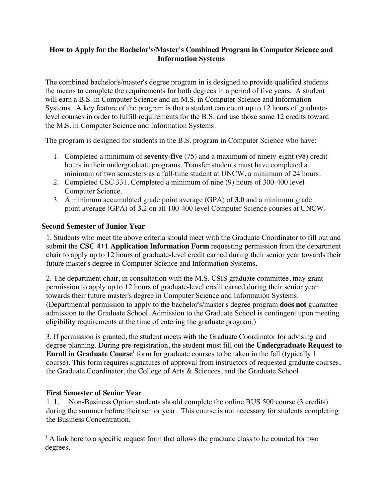## **How to Apply for the Bachelor's/Master's Combined Program in Computer Science and Information Systems**

The combined bachelor's/master's degree program in is designed to provide qualified students the means to complete the requirements for both degrees in a period of five years. A student will earn a B.S. in Computer Science and an M.S. in Computer Science and Information Systems. A key feature of the program is that a student can count up to 12 hours of graduatelevel courses in order to fulfill requirements for the B.S. and use those same 12 credits toward the M.S. in Computer Science and Information Systems.

The program is designed for students in the B.S. program in Computer Science who have:

- 1. Completed a minimum of **seventy-five** (75) and a maximum of ninety-eight (98) credit hours in their undergraduate programs. Transfer students must have completed a minimum of two semesters as a full-time student at UNCW, a minimum of 24 hours.
- 2. Completed CSC 331. Completed a minimum of nine (9) hours of 300-400 level Computer Science.
- 3. A minimum accumulated grade point average (GPA) of **3.0** and a minimum grade point average (GPA) of **3.**2 on all 100-400 level Computer Science courses at UNCW.

## **Second Semester of Junior Year**

1. Students who meet the above criteria should meet with the Graduate Coordinator to fill out and submit the **CSC 4+1 Application Information Form** requesting permission from the department chair to apply up to 12 hours of graduate-level credit earned during their senior year towards their future master's degree in Computer Science and Information Systems.

2. The department chair, in consultation with the M.S. CSIS graduate committee, may grant permission to apply up to 12 hours of graduate-level credit earned during their senior year towards their future master's degree in Computer Science and Information Systems. (Departmental permission to apply to the bachelor's/master's degree program **does not** guarantee admission to the Graduate School. Admission to the Graduate School is contingent upon meeting eligibility requirements at the time of entering the graduate program.)

3. If permission is granted, the student meets with the Graduate Coordinator for advising and degree planning. During pre-registration, the student must fill out the **Undergraduate Request to Enroll in Graduate Course<sup>1</sup>** form for graduate courses to be taken in the fall (typically 1 course). This form requires signatures of approval from instructors of requested graduate courses, the Graduate Coordinator, the College of Arts & Sciences, and the Graduate School.

## **First Semester of Senior Year**

1. 1. Non-Business Option students should complete the online BUS 500 course (3 credits) during the summer before their senior year. This course is not necessary for students completing the Business Concentration.

 $<sup>1</sup>$  A link here to a specific request form that allows the graduate class to be counted for two</sup> degrees.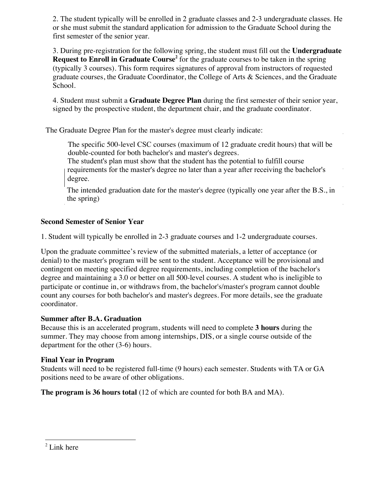2. The student typically will be enrolled in 2 graduate classes and 2-3 undergraduate classes. He or she must submit the standard application for admission to the Graduate School during the first semester of the senior year.

3. During pre-registration for the following spring, the student must fill out the **Undergraduate Request to Enroll in Graduate Course<sup>2</sup>** for the graduate courses to be taken in the spring (typically 3 courses). This form requires signatures of approval from instructors of requested graduate courses, the Graduate Coordinator, the College of Arts & Sciences, and the Graduate School.

4. Student must submit a **Graduate Degree Plan** during the first semester of their senior year, signed by the prospective student, the department chair, and the graduate coordinator.

The Graduate Degree Plan for the master's degree must clearly indicate:

The specific 500-level CSC courses (maximum of 12 graduate credit hours) that will be double-counted for both bachelor's and master's degrees.

The student's plan must show that the student has the potential to fulfill course requirements for the master's degree no later than a year after receiving the bachelor's degree.

The intended graduation date for the master's degree (typically one year after the B.S., in the spring)

## **Second Semester of Senior Year**

1. Student will typically be enrolled in 2-3 graduate courses and 1-2 undergraduate courses.

Upon the graduate committee's review of the submitted materials, a letter of acceptance (or denial) to the master's program will be sent to the student. Acceptance will be provisional and contingent on meeting specified degree requirements, including completion of the bachelor's degree and maintaining a 3.0 or better on all 500-level courses. A student who is ineligible to participate or continue in, or withdraws from, the bachelor's/master's program cannot double count any courses for both bachelor's and master's degrees. For more details, see the graduate coordinator.

## **Summer after B.A. Graduation**

Because this is an accelerated program, students will need to complete **3 hours** during the summer. They may choose from among internships, DIS, or a single course outside of the department for the other (3-6) hours.

# **Final Year in Program**

Students will need to be registered full-time (9 hours) each semester. Students with TA or GA positions need to be aware of other obligations.

**The program is 36 hours total** (12 of which are counted for both BA and MA).

<sup>2</sup> Link here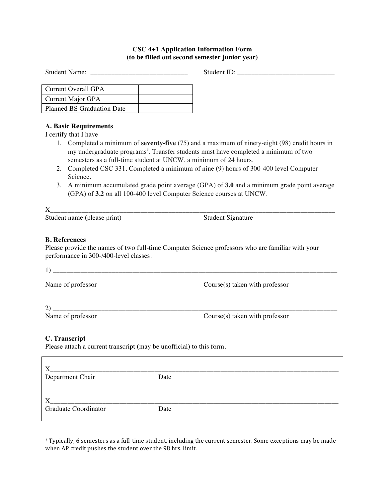### **CSC 4+1 Application Information Form (to be filled out second semester junior year)**

Student Name: \_\_\_\_\_\_\_\_\_\_\_\_\_\_\_\_\_\_\_\_\_\_\_\_\_\_\_\_ Student ID: \_\_\_\_\_\_\_\_\_\_\_\_\_\_\_\_\_\_\_\_\_\_\_\_\_\_\_\_

| Current Overall GPA               |  |
|-----------------------------------|--|
| Current Major GPA                 |  |
| <b>Planned BS Graduation Date</b> |  |

### **A. Basic Requirements**

I certify that I have

- 1. Completed a minimum of **seventy-five** (75) and a maximum of ninety-eight (98) credit hours in my undergraduate programs<sup>3</sup>. Transfer students must have completed a minimum of two semesters as a full-time student at UNCW, a minimum of 24 hours.
- 2. Completed CSC 331. Completed a minimum of nine (9) hours of 300-400 level Computer Science.
- 3. A minimum accumulated grade point average (GPA) of **3.0** and a minimum grade point average (GPA) of **3.2** on all 100-400 level Computer Science courses at UNCW.

X\_\_\_\_\_\_\_\_\_\_\_\_\_\_\_\_\_\_\_\_\_\_\_\_\_\_\_\_\_\_\_\_\_\_\_\_\_\_\_\_\_\_\_\_\_\_\_\_\_\_\_\_\_\_\_\_\_\_\_\_\_\_\_\_\_\_\_\_\_\_\_\_\_\_\_\_\_\_\_\_\_\_

Student name (please print) Student Signature

#### **B. References**

Please provide the names of two full-time Computer Science professors who are familiar with your performance in 300-/400-level classes.

 $1)$ 

Name of professor Course(s) taken with professor

 $2)$   $\overline{\phantom{a}}$  Name of professor

 $Course(s)$  taken with professor

#### **C. Transcript**

Please attach a current transcript (may be unofficial) to this form.

| Department Chair            | Date |  |
|-----------------------------|------|--|
|                             |      |  |
|                             |      |  |
| <b>Graduate Coordinator</b> | Date |  |
|                             |      |  |

<sup>&</sup>lt;sup>3</sup> Typically, 6 semesters as a full-time student, including the current semester. Some exceptions may be made when AP credit pushes the student over the 98 hrs. limit.